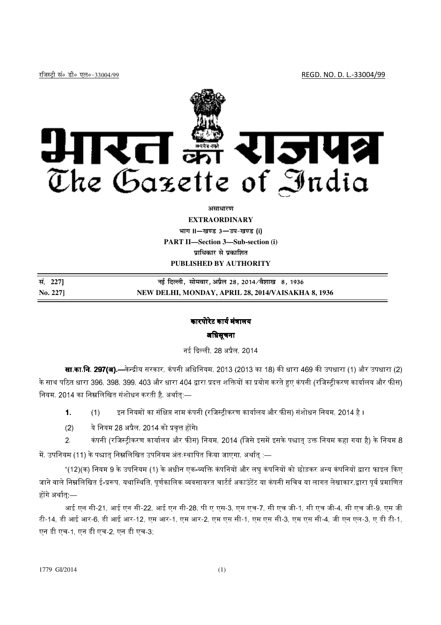

#### असाधारण

**EXTRAORDINARY** भाग II-खण्ड 3-उप-खण्ड (i) **PART II-Section 3-Sub-section (i)** प्राधिकार से प्रकाशित PUBLISHED BY AUTHORITY

| सं. 2271 | नई दिल्ली, सोमवार, अप्रैल 28, 2014 ∕वैशाख  8, 1936 |
|----------|----------------------------------------------------|
| No. 227] | NEW DELHI, MONDAY, APRIL 28, 2014/VAISAKHA 8, 1936 |

# कारपोरेट कार्य मंत्रालय

### अधिसूचना

नई दिल्ली, 28 अप्रैल, 2014

**सा.का.नि. 297(अ).—**केन्द्रीय सरकार, कंपनी अधिनियम, 2013 (2013 का 18) की धारा 469 की उपधारा (1) और उपधारा (2) के साथ पठित धारा 396, 398, 399, 403 और धारा 404 द्वारा प्रदत्त शक्तियों का प्रयोग करते हुए कंपनी (रजिस्ट्रीकरण कार्यालय और फीस) नियम, 2014 का निम्नलिखित संशोधन करती है, अर्थात:—

- $\mathbf 1$ इन नियमों का संक्षिप्त नाम कंपनी (रजिस्ट्रीकरण कार्यालय और फीस) संशोधन नियम, 2014 है ।  $(1)$
- ये नियम 28 अप्रैल, 2014 को प्रवत्त होंगे।  $(2)$
- कंपनी (रजिस्ट्रीकरण कार्यालय और फीस) नियम, 2014 (जिसे इसमें इसके पश्चात् उक्त नियम कहा गया है) के नियम 8  $2<sup>1</sup>$ में, उपनियम (11) के पश्चात निम्नलिखित उपनियम अंतःस्थापित किया जाएगा, अर्थात :—

"(12)(क) नियम 9 के उपनियम (1) के अधीन एक-व्यक्ति कंपनियों और लघ कंपनियों को छोड़कर अन्य कंपनियों द्वारा फाइल किए जाने वाले निम्नलिखित ई-प्ररूप, यथास्थिति, पूर्णकालिक व्यवसायरत चार्टर्ड अकाउंटेंट या कंपनी सचिव या लागत लेखाकार,द्वारा पूर्व प्रमाणित होंगे अर्थात् —

आई एन सी-21, आई एन सी-22, आई एन सी-28, पी ए एस-3, एस एच-7, सी एच जी-1, सी एच जी-4, सी एच जी-9, एम जी टी-14, डी आई आर-6, डी आई आर-12, एम आर-1, एम आर-2, एम एस सी-1, एम एस सी-3, एम एस सी-4, जी एन एल-3, ए डी टी-1, एन डी एच-1, एन डी एच-2, एन डी एच-3;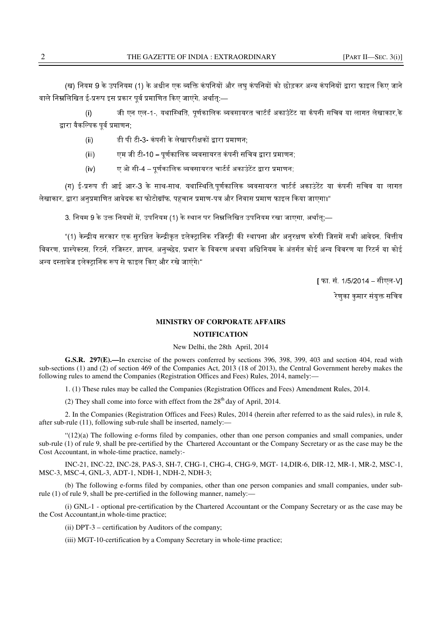(ख) नियम 9 के उपनियम (1) के अधीन एक व्यक्ति कंपनियों और लघ कंपनियों को छोड़कर अन्य कंपनियों द्वारा फाइल किए जाने वाले निम्नलिखित ई-प्ररूप इस प्रकार पर्व प्रमाणित किए जाएंगे. अर्थात:—

(i) जी एन एल-1-, यथास्थिति, पर्णकालिक व्यवसायरत चार्टर्ड अकाउंटेंट या कंपनी सचिव या लागत लेखाकार के द्वारा वैकल्पिक पर्व प्रमाणन:

- (ii) डी पी टी 3- कंपनी के लेखापरीक्षकों द्वारा प्रमाणन:
- (iii) एम जी टी-10 पर्णकालिक व्यवसायरत कंपनी सचिव द्वारा प्रमाणन:
- (iv) ए ओ सी-4 पर्णकालिक व्यवसायरत चार्टर्ड अकाउंटेंट द्वारा प्रमाणन:

(ग) ई-प्ररूप डी आई आर-3 के साथ-साथ, यथास्थिति,पर्णकालिक व्यवसायरत चार्टर्ड अकाउंटेंट या कंपनी सचिव या लागत लेखाकार. द्वारा अनप्रमाणित आवेदक का फोटोग्रॉफ. पहचान प्रमाण-पत्र और निवास प्रमाण फाइल किया जाएगा।"

3. नियम 9 के उक्त नियमों में. उपनियम (1) के स्थान पर निम्नलिखित उपनियम रखा जाएगा. अर्थात:—

"(1) केन्द्रीय सरकार एक सरक्षित केन्द्रीकत इलेक्टानिक रजिस्टी की स्थापना और अनरक्षण करेगी जिसमें सभी आवेदन. वित्तीय विवरण, प्रास्पेक्टस, रिटर्न, रजिस्टर, ज्ञापन, अनच्छेद, प्रभार के विवरण अथवा अधिनियम के अंतर्गत कोई अन्य विवरण या रिटर्न या कोई अन्य दस्तावेज इलेक्टानिक रूप से फाइल किए और रखे जाएंगे।"

[ फा. सं. 1/5/2014 – सीएल-V]

रेणका कमार संयक्त सचिव<sup>्</sup>

# **MINISTRY OF CORPORATE AFFAIRS**

### **NOTIFICATION**

## New Delhi, the 28th April, 2014

**G.S.R. 297(E).—**In exercise of the powers conferred by sections 396, 398, 399, 403 and section 404, read with sub-sections (1) and (2) of section 469 of the Companies Act, 2013 (18 of 2013), the Central Government hereby makes the following rules to amend the Companies (Registration Offices and Fees) Rules, 2014, namely:—

1. (1) These rules may be called the Companies (Registration Offices and Fees) Amendment Rules, 2014.

(2) They shall come into force with effect from the  $28<sup>th</sup>$  day of April, 2014.

2. In the Companies (Registration Offices and Fees) Rules, 2014 (herein after referred to as the said rules), in rule 8, after sub-rule (11), following sub-rule shall be inserted, namely:—

"(12)(a) The following e-forms filed by companies, other than one person companies and small companies, under sub-rule (1) of rule 9, shall be pre-certified by the Chartered Accountant or the Company Secretary or as the case may be the Cost Accountant, in whole-time practice, namely:-

INC-21, INC-22, INC-28, PAS-3, SH-7, CHG-1, CHG-4, CHG-9, MGT- 14,DIR-6, DIR-12, MR-1, MR-2, MSC-1, MSC-3, MSC-4, GNL-3, ADT-1, NDH-1, NDH-2, NDH-3;

(b) The following e-forms filed by companies, other than one person companies and small companies, under subrule (1) of rule 9, shall be pre-certified in the following manner, namely:—

(i) GNL-1 - optional pre-certification by the Chartered Accountant or the Company Secretary or as the case may be the Cost Accountant,in whole-time practice;

(ii) DPT-3 – certification by Auditors of the company;

(iii) MGT-10-certification by a Company Secretary in whole-time practice;